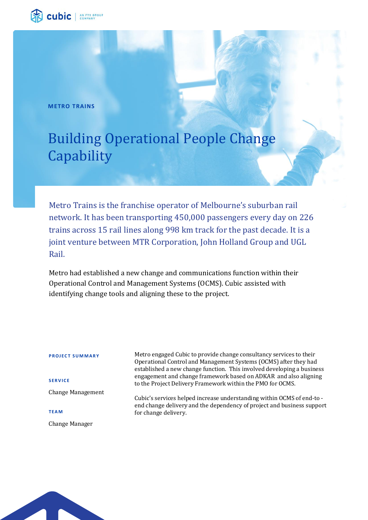

**METRO TRAINS**

# Building Operational People Change **Capability**

Metro Trains is the franchise operator of Melbourne's suburban rail network. It has been transporting 450,000 passengers every day on 226 trains across 15 rail lines along 998 km track for the past decade. It is a joint venture between MTR Corporation, John Holland Group and UGL Rail.

Metro had established a new change and communications function within their Operational Control and Management Systems (OCMS). Cubic assisted with identifying change tools and aligning these to the project.

**PROJECT SUMMARY** Metro engaged Cubic to provide change consultancy services to their

**S E R V I C E** Change Management Operational Control and Management Systems (OCMS) after they had established a new change function. This involved developing a business engagement and change framework based on ADKAR and also aligning to the Project Delivery Framework within the PMO for OCMS.

Cubic's services helped increase understanding within OCMS of end-to end change delivery and the dependency of project and business support for change delivery.

**TE A M**

Change Manager